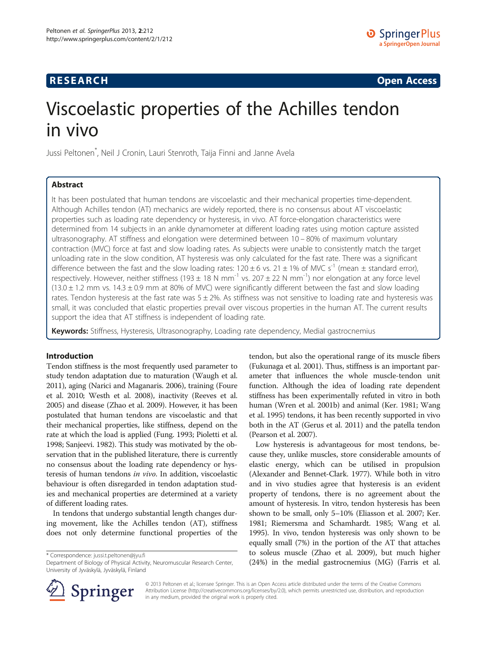# **RESEARCH RESEARCH CONSUMING ACCESS**

# Viscoelastic properties of the Achilles tendon in vivo

Jussi Peltonen\* , Neil J Cronin, Lauri Stenroth, Taija Finni and Janne Avela

# Abstract

It has been postulated that human tendons are viscoelastic and their mechanical properties time-dependent. Although Achilles tendon (AT) mechanics are widely reported, there is no consensus about AT viscoelastic properties such as loading rate dependency or hysteresis, in vivo. AT force-elongation characteristics were determined from 14 subjects in an ankle dynamometer at different loading rates using motion capture assisted ultrasonography. AT stiffness and elongation were determined between 10 – 80% of maximum voluntary contraction (MVC) force at fast and slow loading rates. As subjects were unable to consistently match the target unloading rate in the slow condition, AT hysteresis was only calculated for the fast rate. There was a significant difference between the fast and the slow loading rates:  $120 \pm 6$  vs.  $21 \pm 1\%$  of MVC s<sup>-1</sup> (mean  $\pm$  standard error), respectively. However, neither stiffness (193  $\pm$  18 N mm<sup>-1</sup> vs. 207  $\pm$  22 N mm<sup>-1</sup>) nor elongation at any force level  $(13.0 \pm 1.2 \text{ mm} \text{ vs. } 14.3 \pm 0.9 \text{ mm} \text{ at } 80\% \text{ of MVC})$  were significantly different between the fast and slow loading rates. Tendon hysteresis at the fast rate was  $5 \pm 2\%$ . As stiffness was not sensitive to loading rate and hysteresis was small, it was concluded that elastic properties prevail over viscous properties in the human AT. The current results support the idea that AT stiffness is independent of loading rate.

Keywords: Stiffness, Hysteresis, Ultrasonography, Loading rate dependency, Medial gastrocnemius

# Introduction

Tendon stiffness is the most frequently used parameter to study tendon adaptation due to maturation (Waugh et al. [2011\)](#page-7-0), aging (Narici and Maganaris. [2006](#page-6-0)), training (Foure et al. [2010;](#page-6-0) Westh et al. [2008](#page-7-0)), inactivity (Reeves et al. [2005\)](#page-7-0) and disease (Zhao et al. [2009\)](#page-7-0). However, it has been postulated that human tendons are viscoelastic and that their mechanical properties, like stiffness, depend on the rate at which the load is applied (Fung. [1993](#page-6-0); Pioletti et al. [1998;](#page-6-0) Sanjeevi. [1982](#page-7-0)). This study was motivated by the observation that in the published literature, there is currently no consensus about the loading rate dependency or hysteresis of human tendons in vivo. In addition, viscoelastic behaviour is often disregarded in tendon adaptation studies and mechanical properties are determined at a variety of different loading rates.

In tendons that undergo substantial length changes during movement, like the Achilles tendon (AT), stiffness does not only determine functional properties of the

\* Correspondence: [jussi.t.peltonen@jyu.fi](mailto:jussi.t.peltonen@jyu.fi)

tendon, but also the operational range of its muscle fibers (Fukunaga et al. [2001](#page-6-0)). Thus, stiffness is an important parameter that influences the whole muscle-tendon unit function. Although the idea of loading rate dependent stiffness has been experimentally refuted in vitro in both human (Wren et al. [2001b\)](#page-7-0) and animal (Ker. [1981](#page-6-0); Wang et al. [1995\)](#page-7-0) tendons, it has been recently supported in vivo both in the AT (Gerus et al. [2011](#page-6-0)) and the patella tendon (Pearson et al. [2007\)](#page-6-0).

Low hysteresis is advantageous for most tendons, because they, unlike muscles, store considerable amounts of elastic energy, which can be utilised in propulsion (Alexander and Bennet-Clark. [1977](#page-6-0)). While both in vitro and in vivo studies agree that hysteresis is an evident property of tendons, there is no agreement about the amount of hysteresis. In vitro, tendon hysteresis has been shown to be small, only 5–10% (Eliasson et al. [2007;](#page-6-0) Ker. [1981](#page-6-0); Riemersma and Schamhardt. [1985;](#page-7-0) Wang et al. [1995](#page-7-0)). In vivo, tendon hysteresis was only shown to be equally small (7%) in the portion of the AT that attaches to soleus muscle (Zhao et al. [2009](#page-7-0)), but much higher (24%) in the medial gastrocnemius (MG) (Farris et al.



© 2013 Peltonen et al.; licensee Springer. This is an Open Access article distributed under the terms of the Creative Commons Attribution License [\(http://creativecommons.org/licenses/by/2.0\)](http://creativecommons.org/licenses/by/2.0), which permits unrestricted use, distribution, and reproduction in any medium, provided the original work is properly cited.

Department of Biology of Physical Activity, Neuromuscular Research Center, University of Jyväskylä, Jyväskylä, Finland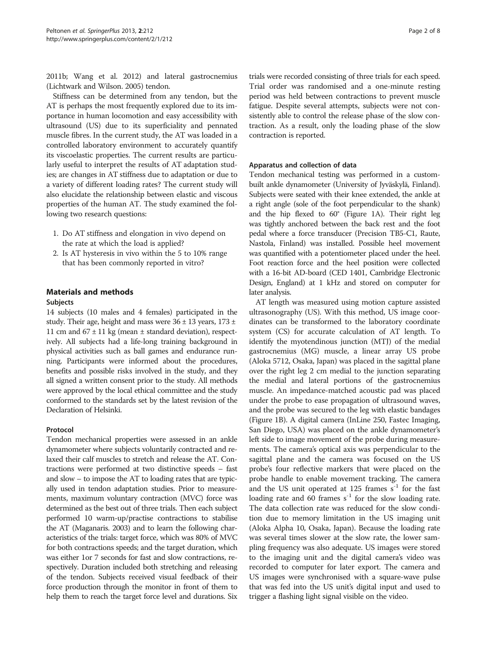[2011b;](#page-6-0) Wang et al. [2012\)](#page-7-0) and lateral gastrocnemius (Lichtwark and Wilson. [2005](#page-6-0)) tendon.

Stiffness can be determined from any tendon, but the AT is perhaps the most frequently explored due to its importance in human locomotion and easy accessibility with ultrasound (US) due to its superficiality and pennated muscle fibres. In the current study, the AT was loaded in a controlled laboratory environment to accurately quantify its viscoelastic properties. The current results are particularly useful to interpret the results of AT adaptation studies; are changes in AT stiffness due to adaptation or due to a variety of different loading rates? The current study will also elucidate the relationship between elastic and viscous properties of the human AT. The study examined the following two research questions:

- 1. Do AT stiffness and elongation in vivo depend on the rate at which the load is applied?
- 2. Is AT hysteresis in vivo within the 5 to 10% range that has been commonly reported in vitro?

# Materials and methods

# Subjects

14 subjects (10 males and 4 females) participated in the study. Their age, height and mass were  $36 \pm 13$  years,  $173 \pm 12$ 11 cm and  $67 \pm 11$  kg (mean  $\pm$  standard deviation), respectively. All subjects had a life-long training background in physical activities such as ball games and endurance running. Participants were informed about the procedures, benefits and possible risks involved in the study, and they all signed a written consent prior to the study. All methods were approved by the local ethical committee and the study conformed to the standards set by the latest revision of the Declaration of Helsinki.

#### Protocol

Tendon mechanical properties were assessed in an ankle dynamometer where subjects voluntarily contracted and relaxed their calf muscles to stretch and release the AT. Contractions were performed at two distinctive speeds – fast and slow – to impose the AT to loading rates that are typically used in tendon adaptation studies. Prior to measurements, maximum voluntary contraction (MVC) force was determined as the best out of three trials. Then each subject performed 10 warm-up/practise contractions to stabilise the AT (Maganaris. [2003](#page-6-0)) and to learn the following characteristics of the trials: target force, which was 80% of MVC for both contractions speeds; and the target duration, which was either 1or 7 seconds for fast and slow contractions, respectively. Duration included both stretching and releasing of the tendon. Subjects received visual feedback of their force production through the monitor in front of them to help them to reach the target force level and durations. Six

trials were recorded consisting of three trials for each speed. Trial order was randomised and a one-minute resting period was held between contractions to prevent muscle fatigue. Despite several attempts, subjects were not consistently able to control the release phase of the slow contraction. As a result, only the loading phase of the slow contraction is reported.

#### Apparatus and collection of data

Tendon mechanical testing was performed in a custombuilt ankle dynamometer (University of Jyväskylä, Finland). Subjects were seated with their knee extended, the ankle at a right angle (sole of the foot perpendicular to the shank) and the hip flexed to 60° (Figure [1A](#page-2-0)). Their right leg was tightly anchored between the back rest and the foot pedal where a force transducer (Precision TB5-C1, Raute, Nastola, Finland) was installed. Possible heel movement was quantified with a potentiometer placed under the heel. Foot reaction force and the heel position were collected with a 16-bit AD-board (CED 1401, Cambridge Electronic Design, England) at 1 kHz and stored on computer for later analysis.

AT length was measured using motion capture assisted ultrasonography (US). With this method, US image coordinates can be transformed to the laboratory coordinate system (CS) for accurate calculation of AT length. To identify the myotendinous junction (MTJ) of the medial gastrocnemius (MG) muscle, a linear array US probe (Aloka 5712, Osaka, Japan) was placed in the sagittal plane over the right leg 2 cm medial to the junction separating the medial and lateral portions of the gastrocnemius muscle. An impedance-matched acoustic pad was placed under the probe to ease propagation of ultrasound waves, and the probe was secured to the leg with elastic bandages (Figure [1B](#page-2-0)). A digital camera (InLine 250, Fastec Imaging, San Diego, USA) was placed on the ankle dynamometer's left side to image movement of the probe during measurements. The camera's optical axis was perpendicular to the sagittal plane and the camera was focused on the US probe's four reflective markers that were placed on the probe handle to enable movement tracking. The camera and the US unit operated at 125 frames  $s^{-1}$  for the fast loading rate and 60 frames  $s^{-1}$  for the slow loading rate. The data collection rate was reduced for the slow condition due to memory limitation in the US imaging unit (Aloka Alpha 10, Osaka, Japan). Because the loading rate was several times slower at the slow rate, the lower sampling frequency was also adequate. US images were stored to the imaging unit and the digital camera's video was recorded to computer for later export. The camera and US images were synchronised with a square-wave pulse that was fed into the US unit's digital input and used to trigger a flashing light signal visible on the video.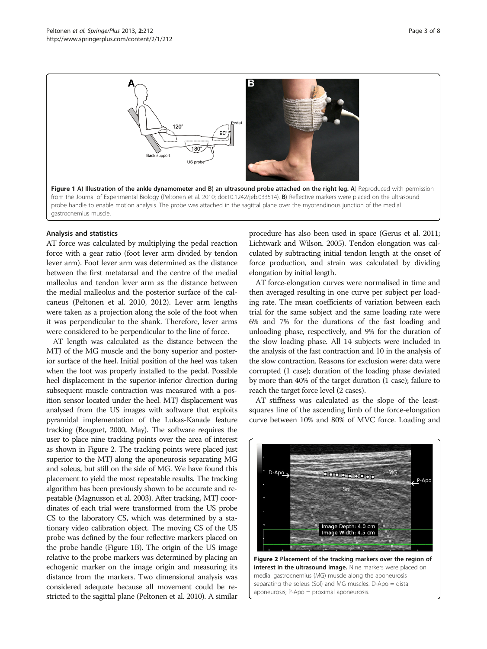<span id="page-2-0"></span>

## Analysis and statistics

AT force was calculated by multiplying the pedal reaction force with a gear ratio (foot lever arm divided by tendon lever arm). Foot lever arm was determined as the distance between the first metatarsal and the centre of the medial malleolus and tendon lever arm as the distance between the medial malleolus and the posterior surface of the calcaneus (Peltonen et al. [2010](#page-6-0), [2012\)](#page-6-0). Lever arm lengths were taken as a projection along the sole of the foot when it was perpendicular to the shank. Therefore, lever arms were considered to be perpendicular to the line of force.

AT length was calculated as the distance between the MTJ of the MG muscle and the bony superior and posterior surface of the heel. Initial position of the heel was taken when the foot was properly installed to the pedal. Possible heel displacement in the superior-inferior direction during subsequent muscle contraction was measured with a position sensor located under the heel. MTJ displacement was analysed from the US images with software that exploits pyramidal implementation of the Lukas-Kanade feature tracking (Bouguet, [2000](#page-6-0), May). The software requires the user to place nine tracking points over the area of interest as shown in Figure 2. The tracking points were placed just superior to the MTJ along the aponeurosis separating MG and soleus, but still on the side of MG. We have found this placement to yield the most repeatable results. The tracking algorithm has been previously shown to be accurate and repeatable (Magnusson et al. [2003](#page-6-0)). After tracking, MTJ coordinates of each trial were transformed from the US probe CS to the laboratory CS, which was determined by a stationary video calibration object. The moving CS of the US probe was defined by the four reflective markers placed on the probe handle (Figure 1B). The origin of the US image relative to the probe markers was determined by placing an echogenic marker on the image origin and measuring its distance from the markers. Two dimensional analysis was considered adequate because all movement could be restricted to the sagittal plane (Peltonen et al. [2010](#page-6-0)). A similar

procedure has also been used in space (Gerus et al. [2011](#page-6-0); Lichtwark and Wilson. [2005](#page-6-0)). Tendon elongation was calculated by subtracting initial tendon length at the onset of force production, and strain was calculated by dividing elongation by initial length.

AT force-elongation curves were normalised in time and then averaged resulting in one curve per subject per loading rate. The mean coefficients of variation between each trial for the same subject and the same loading rate were 6% and 7% for the durations of the fast loading and unloading phase, respectively, and 9% for the duration of the slow loading phase. All 14 subjects were included in the analysis of the fast contraction and 10 in the analysis of the slow contraction. Reasons for exclusion were: data were corrupted (1 case); duration of the loading phase deviated by more than 40% of the target duration (1 case); failure to reach the target force level (2 cases).

AT stiffness was calculated as the slope of the leastsquares line of the ascending limb of the force-elongation curve between 10% and 80% of MVC force. Loading and

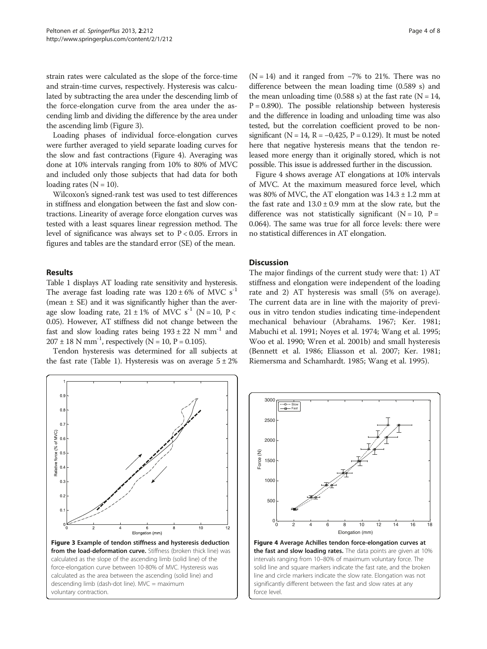<span id="page-3-0"></span>strain rates were calculated as the slope of the force-time and strain-time curves, respectively. Hysteresis was calculated by subtracting the area under the descending limb of the force-elongation curve from the area under the ascending limb and dividing the difference by the area under the ascending limb (Figure 3).

Loading phases of individual force-elongation curves were further averaged to yield separate loading curves for the slow and fast contractions (Figure 4). Averaging was done at 10% intervals ranging from 10% to 80% of MVC and included only those subjects that had data for both loading rates  $(N = 10)$ .

Wilcoxon's signed-rank test was used to test differences in stiffness and elongation between the fast and slow contractions. Linearity of average force elongation curves was tested with a least squares linear regression method. The level of significance was always set to  $P < 0.05$ . Errors in figures and tables are the standard error (SE) of the mean.

#### Results

Table [1](#page-4-0) displays AT loading rate sensitivity and hysteresis. The average fast loading rate was  $120 \pm 6\%$  of MVC s<sup>-1</sup> (mean  $\pm$  SE) and it was significantly higher than the average slow loading rate,  $21 \pm 1\%$  of MVC s<sup>-1</sup> (N = 10, P < 0.05). However, AT stiffness did not change between the fast and slow loading rates being  $193 \pm 22$  N mm<sup>-1</sup> and  $207 \pm 18$  N mm<sup>-1</sup>, respectively (N = 10, P = 0.105).

Tendon hysteresis was determined for all subjects at the fast rate (Table [1](#page-4-0)). Hysteresis was on average  $5 \pm 2\%$ 



 $(N = 14)$  and it ranged from  $-7\%$  to 21%. There was no difference between the mean loading time (0.589 s) and the mean unloading time (0.588 s) at the fast rate ( $N = 14$ ,  $P = 0.890$ ). The possible relationship between hysteresis and the difference in loading and unloading time was also tested, but the correlation coefficient proved to be nonsignificant ( $N = 14$ ,  $R = -0.425$ ,  $P = 0.129$ ). It must be noted here that negative hysteresis means that the tendon released more energy than it originally stored, which is not possible. This issue is addressed further in the discussion.

Figure 4 shows average AT elongations at 10% intervals of MVC. At the maximum measured force level, which was 80% of MVC, the AT elongation was  $14.3 \pm 1.2$  mm at the fast rate and  $13.0 \pm 0.9$  mm at the slow rate, but the difference was not statistically significant  $(N = 10, P =$ 0.064). The same was true for all force levels: there were no statistical differences in AT elongation.

## **Discussion**

The major findings of the current study were that: 1) AT stiffness and elongation were independent of the loading rate and 2) AT hysteresis was small (5% on average). The current data are in line with the majority of previous in vitro tendon studies indicating time-independent mechanical behaviour (Abrahams. [1967;](#page-6-0) Ker. [1981](#page-6-0); Mabuchi et al. [1991](#page-6-0); Noyes et al. [1974;](#page-6-0) Wang et al. [1995](#page-7-0); Woo et al. [1990;](#page-7-0) Wren et al. [2001b](#page-7-0)) and small hysteresis (Bennett et al. [1986;](#page-6-0) Eliasson et al. [2007;](#page-6-0) Ker. [1981](#page-6-0); Riemersma and Schamhardt. [1985](#page-7-0); Wang et al. [1995\)](#page-7-0).

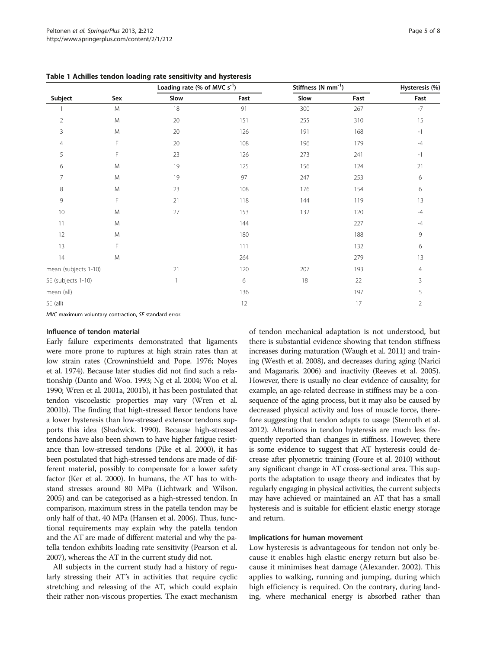| Subject              | Sex       | Loading rate (% of MVC $s^{-1}$ ) |      | Stiffness (N mm <sup>-1</sup> ) |      | Hysteresis (%) |
|----------------------|-----------|-----------------------------------|------|---------------------------------|------|----------------|
|                      |           | Slow                              | Fast | Slow                            | Fast | Fast           |
|                      | M         | 18                                | 91   | 300                             | 267  | $-7$           |
| 2                    | ${\sf M}$ | 20                                | 151  | 255                             | 310  | 15             |
| 3                    | M         | 20                                | 126  | 191                             | 168  | $-1$           |
| 4                    | F         | 20                                | 108  | 196                             | 179  | $-4$           |
| 5                    | F         | 23                                | 126  | 273                             | 241  | $-1$           |
| 6                    | M         | 19                                | 125  | 156                             | 124  | 21             |
| 7                    | M         | 19                                | 97   | 247                             | 253  | 6              |
| 8                    | M         | 23                                | 108  | 176                             | 154  | 6              |
| 9                    | F         | 21                                | 118  | 144                             | 119  | 13             |
| 10                   | M         | 27                                | 153  | 132                             | 120  | $-4$           |
| 11                   | M         |                                   | 144  |                                 | 227  | $-4$           |
| 12                   | M         |                                   | 180  |                                 | 188  | 9              |
| 13                   | F         |                                   | 111  |                                 | 132  | 6              |
| 14                   | M         |                                   | 264  |                                 | 279  | 13             |
| mean (subjects 1-10) |           | 21                                | 120  | 207                             | 193  | 4              |
| SE (subjects 1-10)   |           | 1                                 | 6    | 18                              | 22   | 3              |
| mean (all)           |           |                                   | 136  |                                 | 197  | 5              |
| SE (all)             |           |                                   | 12   |                                 | 17   | $\overline{2}$ |

<span id="page-4-0"></span>Table 1 Achilles tendon loading rate sensitivity and hysteresis

MVC maximum voluntary contraction, SE standard error.

#### Influence of tendon material

Early failure experiments demonstrated that ligaments were more prone to ruptures at high strain rates than at low strain rates (Crowninshield and Pope. [1976;](#page-6-0) Noyes et al. [1974](#page-6-0)). Because later studies did not find such a relationship (Danto and Woo. [1993](#page-6-0); Ng et al. [2004;](#page-6-0) Woo et al. [1990;](#page-7-0) Wren et al. [2001a](#page-7-0), [2001b\)](#page-7-0), it has been postulated that tendon viscoelastic properties may vary (Wren et al. [2001b\)](#page-7-0). The finding that high-stressed flexor tendons have a lower hysteresis than low-stressed extensor tendons supports this idea (Shadwick. [1990\)](#page-7-0). Because high-stressed tendons have also been shown to have higher fatigue resistance than low-stressed tendons (Pike et al. [2000](#page-6-0)), it has been postulated that high-stressed tendons are made of different material, possibly to compensate for a lower safety factor (Ker et al. [2000\)](#page-6-0). In humans, the AT has to withstand stresses around 80 MPa (Lichtwark and Wilson. [2005\)](#page-6-0) and can be categorised as a high-stressed tendon. In comparison, maximum stress in the patella tendon may be only half of that, 40 MPa (Hansen et al. [2006](#page-6-0)). Thus, functional requirements may explain why the patella tendon and the AT are made of different material and why the patella tendon exhibits loading rate sensitivity (Pearson et al. [2007\)](#page-6-0), whereas the AT in the current study did not.

All subjects in the current study had a history of regularly stressing their AT's in activities that require cyclic stretching and releasing of the AT, which could explain their rather non-viscous properties. The exact mechanism of tendon mechanical adaptation is not understood, but there is substantial evidence showing that tendon stiffness increases during maturation (Waugh et al. [2011](#page-7-0)) and training (Westh et al. [2008\)](#page-7-0), and decreases during aging (Narici and Maganaris. [2006\)](#page-6-0) and inactivity (Reeves et al. [2005](#page-7-0)). However, there is usually no clear evidence of causality; for example, an age-related decrease in stiffness may be a consequence of the aging process, but it may also be caused by decreased physical activity and loss of muscle force, therefore suggesting that tendon adapts to usage (Stenroth et al. [2012\)](#page-7-0). Alterations in tendon hysteresis are much less frequently reported than changes in stiffness. However, there is some evidence to suggest that AT hysteresis could decrease after plyometric training (Foure et al. [2010\)](#page-6-0) without any significant change in AT cross-sectional area. This supports the adaptation to usage theory and indicates that by regularly engaging in physical activities, the current subjects may have achieved or maintained an AT that has a small hysteresis and is suitable for efficient elastic energy storage and return.

#### Implications for human movement

Low hysteresis is advantageous for tendon not only because it enables high elastic energy return but also because it minimises heat damage (Alexander. [2002\)](#page-6-0). This applies to walking, running and jumping, during which high efficiency is required. On the contrary, during landing, where mechanical energy is absorbed rather than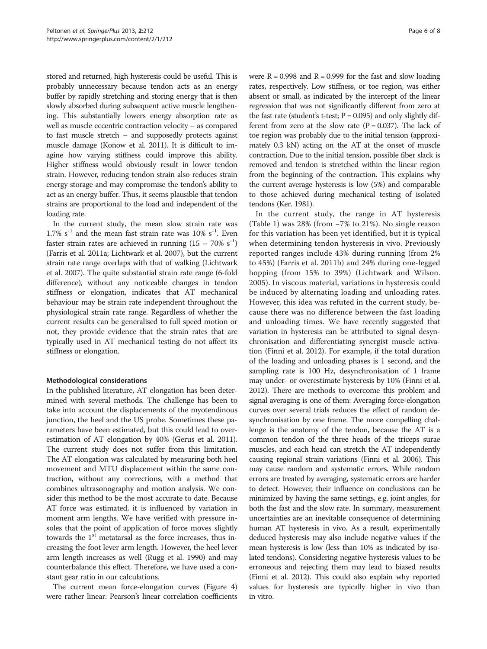stored and returned, high hysteresis could be useful. This is probably unnecessary because tendon acts as an energy buffer by rapidly stretching and storing energy that is then slowly absorbed during subsequent active muscle lengthening. This substantially lowers energy absorption rate as well as muscle eccentric contraction velocity – as compared to fast muscle stretch – and supposedly protects against muscle damage (Konow et al. [2011\)](#page-6-0). It is difficult to imagine how varying stiffness could improve this ability. Higher stiffness would obviously result in lower tendon strain. However, reducing tendon strain also reduces strain energy storage and may compromise the tendon's ability to act as an energy buffer. Thus, it seems plausible that tendon strains are proportional to the load and independent of the loading rate.

In the current study, the mean slow strain rate was 1.7%  $s^{-1}$  and the mean fast strain rate was 10%  $s^{-1}$ . Even faster strain rates are achieved in running  $(15 - 70\% \text{ s}^{-1})$ (Farris et al. [2011a](#page-6-0); Lichtwark et al. [2007\)](#page-6-0), but the current strain rate range overlaps with that of walking (Lichtwark et al. [2007](#page-6-0)). The quite substantial strain rate range (6-fold difference), without any noticeable changes in tendon stiffness or elongation, indicates that AT mechanical behaviour may be strain rate independent throughout the physiological strain rate range. Regardless of whether the current results can be generalised to full speed motion or not, they provide evidence that the strain rates that are typically used in AT mechanical testing do not affect its stiffness or elongation.

#### Methodological considerations

In the published literature, AT elongation has been determined with several methods. The challenge has been to take into account the displacements of the myotendinous junction, the heel and the US probe. Sometimes these parameters have been estimated, but this could lead to overestimation of AT elongation by 40% (Gerus et al. [2011](#page-6-0)). The current study does not suffer from this limitation. The AT elongation was calculated by measuring both heel movement and MTU displacement within the same contraction, without any corrections, with a method that combines ultrasonography and motion analysis. We consider this method to be the most accurate to date. Because AT force was estimated, it is influenced by variation in moment arm lengths. We have verified with pressure insoles that the point of application of force moves slightly towards the 1<sup>st</sup> metatarsal as the force increases, thus increasing the foot lever arm length. However, the heel lever arm length increases as well (Rugg et al. [1990](#page-7-0)) and may counterbalance this effect. Therefore, we have used a constant gear ratio in our calculations.

The current mean force-elongation curves (Figure [4](#page-3-0)) were rather linear: Pearson's linear correlation coefficients

were  $R = 0.998$  and  $R = 0.999$  for the fast and slow loading rates, respectively. Low stiffness, or toe region, was either absent or small, as indicated by the intercept of the linear regression that was not significantly different from zero at the fast rate (student's t-test;  $P = 0.095$ ) and only slightly different from zero at the slow rate  $(P = 0.037)$ . The lack of toe region was probably due to the initial tension (approximately 0.3 kN) acting on the AT at the onset of muscle contraction. Due to the initial tension, possible fiber slack is removed and tendon is stretched within the linear region from the beginning of the contraction. This explains why the current average hysteresis is low (5%) and comparable to those achieved during mechanical testing of isolated tendons (Ker. [1981](#page-6-0)).

In the current study, the range in AT hysteresis (Table [1\)](#page-4-0) was 28% (from −7% to 21%). No single reason for this variation has been yet identified, but it is typical when determining tendon hysteresis in vivo. Previously reported ranges include 43% during running (from 2% to 45%) (Farris et al. [2011b\)](#page-6-0) and 24% during one-legged hopping (from 15% to 39%) (Lichtwark and Wilson. [2005\)](#page-6-0). In viscous material, variations in hysteresis could be induced by alternating loading and unloading rates. However, this idea was refuted in the current study, because there was no difference between the fast loading and unloading times. We have recently suggested that variation in hysteresis can be attributed to signal desynchronisation and differentiating synergist muscle activation (Finni et al. [2012\)](#page-6-0). For example, if the total duration of the loading and unloading phases is 1 second, and the sampling rate is 100 Hz, desynchronisation of 1 frame may under- or overestimate hysteresis by 10% (Finni et al. [2012\)](#page-6-0). There are methods to overcome this problem and signal averaging is one of them: Averaging force-elongation curves over several trials reduces the effect of random desynchronisation by one frame. The more compelling challenge is the anatomy of the tendon, because the AT is a common tendon of the three heads of the triceps surae muscles, and each head can stretch the AT independently causing regional strain variations (Finni et al. [2006\)](#page-6-0). This may cause random and systematic errors. While random errors are treated by averaging, systematic errors are harder to detect. However, their influence on conclusions can be minimized by having the same settings, e.g. joint angles, for both the fast and the slow rate. In summary, measurement uncertainties are an inevitable consequence of determining human AT hysteresis in vivo. As a result, experimentally deduced hysteresis may also include negative values if the mean hysteresis is low (less than 10% as indicated by isolated tendons). Considering negative hysteresis values to be erroneous and rejecting them may lead to biased results (Finni et al. [2012\)](#page-6-0). This could also explain why reported values for hysteresis are typically higher in vivo than in vitro.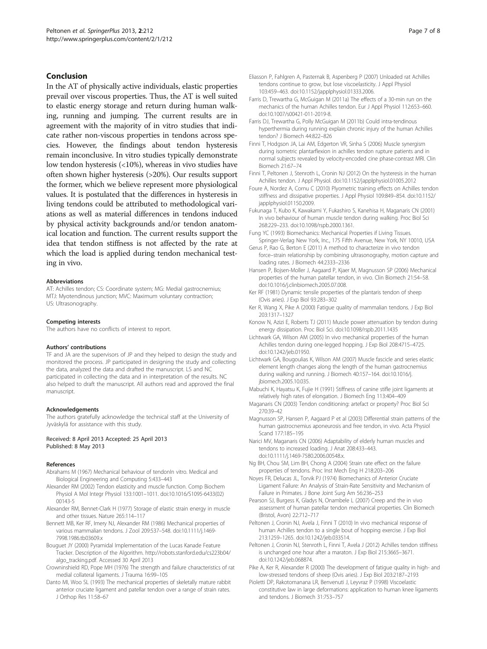## <span id="page-6-0"></span>Conclusion

In the AT of physically active individuals, elastic properties prevail over viscous properties. Thus, the AT is well suited to elastic energy storage and return during human walking, running and jumping. The current results are in agreement with the majority of in vitro studies that indicate rather non-viscous properties in tendons across species. However, the findings about tendon hysteresis remain inconclusive. In vitro studies typically demonstrate low tendon hysteresis (<10%), whereas in vivo studies have often shown higher hysteresis (>20%). Our results support the former, which we believe represent more physiological values. It is postulated that the differences in hysteresis in living tendons could be attributed to methodological variations as well as material differences in tendons induced by physical activity backgrounds and/or tendon anatomical location and function. The current results support the idea that tendon stiffness is not affected by the rate at which the load is applied during tendon mechanical testing in vivo.

#### Abbreviations

AT: Achilles tendon; CS: Coordinate system; MG: Medial gastrocnemius; MTJ: Myotendinous junction; MVC: Maximum voluntary contraction; US: Ultrasonography.

#### Competing interests

The authors have no conflicts of interest to report.

#### Authors' contributions

TF and JA are the supervisors of JP and they helped to design the study and monitored the process. JP participated in designing the study and collecting the data, analyzed the data and drafted the manuscript. LS and NC participated in collecting the data and in interpretation of the results. NC also helped to draft the manuscript. All authors read and approved the final manuscript.

#### Acknowledgements

The authors gratefully acknowledge the technical staff at the University of Jyväskylä for assistance with this study.

#### Received: 8 April 2013 Accepted: 25 April 2013 Published: 8 May 2013

#### References

- Abrahams M (1967) Mechanical behaviour of tendonIn vitro. Medical and Biological Engineering and Computing 5:433–443
- Alexander RM (2002) Tendon elasticity and muscle function. Comp Biochem Physiol A Mol Integr Physiol 133:1001–1011. doi:[10.1016/S1095-6433\(02\)](http://dx.doi.org/10.1016/S1095-6433(02)00143-5) [00143-5](http://dx.doi.org/10.1016/S1095-6433(02)00143-5)
- Alexander RM, Bennet-Clark H (1977) Storage of elastic strain energy in muscle and other tissues. Nature 265:114–117
- Bennett MB, Ker RF, Imery NJ, Alexander RM (1986) Mechanical properties of various mammalian tendons. J Zool 209:537–548. doi:[10.1111/j.1469-](http://dx.doi.org/10.1111/j.1469-7998.1986.tb03609.x) [7998.1986.tb03609.x](http://dx.doi.org/10.1111/j.1469-7998.1986.tb03609.x)
- Bouguet JY (2000) Pyramidal Implementation of the Lucas Kanade Feature Tracker. Description of the Algorithm. [http://robots.stanford.edu/cs223b04/](http://robots.stanford.edu/cs223b04/algo_tracking.pdf) [algo\\_tracking.pdf.](http://robots.stanford.edu/cs223b04/algo_tracking.pdf) Accessed 30 April 2013
- Crowninshield RD, Pope MH (1976) The strength and failure characteristics of rat medial collateral ligaments. J Trauma 16:99–105
- Danto MI, Woo SL (1993) The mechanical properties of skeletally mature rabbit anterior cruciate ligament and patellar tendon over a range of strain rates. J Orthop Res 11:58–67
- Eliasson P, Fahlgren A, Pasternak B, Aspenberg P (2007) Unloaded rat Achilles tendons continue to grow, but lose viscoelasticity. J Appl Physiol 103:459–463. doi:[10.1152/japplphysiol.01333.2006.](http://dx.doi.org/10.1152/japplphysiol.01333.2006)
- Farris D, Trewartha G, McGuigan M (2011a) The effects of a 30-min run on the mechanics of the human Achilles tendon. Eur J Appl Physiol 112:653–660. doi[:10.1007/s00421-011-2019-8](http://dx.doi.org/10.1007/s00421-011-2019-8).
- Farris DJ, Trewartha G, Polly McGuigan M (2011b) Could intra-tendinous hyperthermia during running explain chronic injury of the human Achilles tendon? J Biomech 44:822–826
- Finni T, Hodgson JA, Lai AM, Edgerton VR, Sinha S (2006) Muscle synergism during isometric plantarflexion in achilles tendon rupture patients and in normal subjects revealed by velocity-encoded cine phase-contrast MRI. Clin Biomech 21:67–74
- Finni T, Peltonen J, Stenroth L, Cronin NJ (2012) On the hysteresis in the human Achilles tendon. J Appl Physiol. doi:[10.1152/japplphysiol.01005.2012](http://dx.doi.org/10.1152/japplphysiol.01005.2012)
- Foure A, Nordez A, Cornu C (2010) Plyometric training effects on Achilles tendon stiffness and dissipative properties. J Appl Physiol 109:849–854. doi:[10.1152/](http://dx.doi.org/10.1152/japplphysiol.01150.2009) [japplphysiol.01150.2009.](http://dx.doi.org/10.1152/japplphysiol.01150.2009)
- Fukunaga T, Kubo K, Kawakami Y, Fukashiro S, Kanehisa H, Maganaris CN (2001) In vivo behaviour of human muscle tendon during walking. Proc Biol Sci 268:229–233. doi:[10.1098/rspb.2000.1361.](http://dx.doi.org/10.1098/rspb.2000.1361)
- Fung YC (1993) Biomechanics: Mechanical Properties if Living Tissues. Springer-Verlag New York, Inc., 175 Fifth Avenue, New York, NY 10010, USA
- Gerus P, Rao G, Berton E (2011) A method to characterize in vivo tendon force–strain relationship by combining ultrasonography, motion capture and loading rates. J Biomech 44:2333–2336
- Hansen P, Bojsen-Moller J, Aagaard P, Kjaer M, Magnusson SP (2006) Mechanical properties of the human patellar tendon, in vivo. Clin Biomech 21:54–58. doi[:10.1016/j.clinbiomech.2005.07.008](http://dx.doi.org/10.1016/j.clinbiomech.2005.07.008).
- Ker RF (1981) Dynamic tensile properties of the plantaris tendon of sheep (Ovis aries). J Exp Biol 93:283–302
- Ker R, Wang X, Pike A (2000) Fatigue quality of mammalian tendons. J Exp Biol 203:1317–1327
- Konow N, Azizi E, Roberts TJ (2011) Muscle power attenuation by tendon during energy dissipation. Proc Biol Sci. doi:[10.1098/rspb.2011.1435](http://dx.doi.org/10.1098/rspb.2011.1435)
- Lichtwark GA, Wilson AM (2005) In vivo mechanical properties of the human Achilles tendon during one-legged hopping. J Exp Biol 208:4715–4725. doi[:10.1242/jeb.01950](http://dx.doi.org/10.1242/jeb.01950).
- Lichtwark GA, Bougoulias K, Wilson AM (2007) Muscle fascicle and series elastic element length changes along the length of the human gastrocnemius during walking and running. J Biomech 40:157–164. doi:[10.1016/j.](http://dx.doi.org/10.1016/j.jbiomech.2005.10.035) [jbiomech.2005.10.035.](http://dx.doi.org/10.1016/j.jbiomech.2005.10.035)
- Mabuchi K, Hayatsu K, Fujie H (1991) Stiffness of canine stifle joint ligaments at relatively high rates of elongation. J Biomech Eng 113:404–409
- Maganaris CN (2003) Tendon conditioning: artefact or property? Proc Biol Sci 270:39–42
- Magnusson SP, Hansen P, Aagaard P et al (2003) Differential strain patterns of the human gastrocnemius aponeurosis and free tendon, in vivo. Acta Physiol Scand 177:185–195
- Narici MV, Maganaris CN (2006) Adaptability of elderly human muscles and tendons to increased loading. J Anat 208:433–443. doi[:10.1111/j.1469-7580.2006.00548.x](http://dx.doi.org/10.1111/j.1469-7580.2006.00548.x).
- Ng BH, Chou SM, Lim BH, Chong A (2004) Strain rate effect on the failure properties of tendons. Proc Inst Mech Eng H 218:203–206
- Noyes FR, Delucas JL, Torvik PJ (1974) Biomechanics of Anterior Cruciate Ligament Failure: An Analysis of Strain-Rate Sensitivity and Mechanism of Failure in Primates. J Bone Joint Surg Am 56:236–253
- Pearson SJ, Burgess K, Gladys N, Onambele L (2007) Creep and the in vivo assessment of human patellar tendon mechanical properties. Clin Biomech (Bristol, Avon) 22:712–717
- Peltonen J, Cronin NJ, Avela J, Finni T (2010) In vivo mechanical response of human Achilles tendon to a single bout of hopping exercise. J Exp Biol 213:1259–1265. doi:[10.1242/jeb.033514](http://dx.doi.org/10.1242/jeb.033514).
- Peltonen J, Cronin NJ, Stenroth L, Finni T, Avela J (2012) Achilles tendon stiffness is unchanged one hour after a maraton. J Exp Biol 215:3665–3671. doi[:10.1242/jeb.068874.](http://dx.doi.org/10.1242/jeb.068874)
- Pike A, Ker R, Alexander R (2000) The development of fatigue quality in high- and low-stressed tendons of sheep (Ovis aries). J Exp Biol 203:2187–2193
- Pioletti DP, Rakotomanana LR, Benvenuti J, Leyvraz P (1998) Viscoelastic constitutive law in large deformations: application to human knee ligaments and tendons. J Biomech 31:753–757